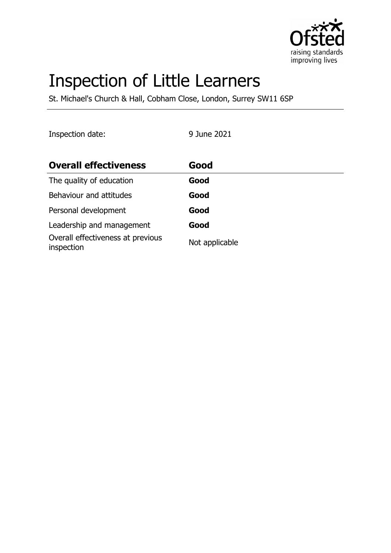

# Inspection of Little Learners

St. Michael's Church & Hall, Cobham Close, London, Surrey SW11 6SP

Inspection date: 9 June 2021

| <b>Overall effectiveness</b>                    | Good           |
|-------------------------------------------------|----------------|
| The quality of education                        | Good           |
| Behaviour and attitudes                         | Good           |
| Personal development                            | Good           |
| Leadership and management                       | Good           |
| Overall effectiveness at previous<br>inspection | Not applicable |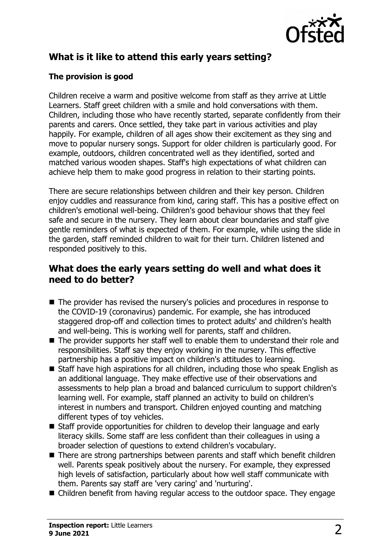

# **What is it like to attend this early years setting?**

#### **The provision is good**

Children receive a warm and positive welcome from staff as they arrive at Little Learners. Staff greet children with a smile and hold conversations with them. Children, including those who have recently started, separate confidently from their parents and carers. Once settled, they take part in various activities and play happily. For example, children of all ages show their excitement as they sing and move to popular nursery songs. Support for older children is particularly good. For example, outdoors, children concentrated well as they identified, sorted and matched various wooden shapes. Staff's high expectations of what children can achieve help them to make good progress in relation to their starting points.

There are secure relationships between children and their key person. Children enjoy cuddles and reassurance from kind, caring staff. This has a positive effect on children's emotional well-being. Children's good behaviour shows that they feel safe and secure in the nursery. They learn about clear boundaries and staff give gentle reminders of what is expected of them. For example, while using the slide in the garden, staff reminded children to wait for their turn. Children listened and responded positively to this.

# **What does the early years setting do well and what does it need to do better?**

- $\blacksquare$  The provider has revised the nursery's policies and procedures in response to the COVID-19 (coronavirus) pandemic. For example, she has introduced staggered drop-off and collection times to protect adults' and children's health and well-being. This is working well for parents, staff and children.
- $\blacksquare$  The provider supports her staff well to enable them to understand their role and responsibilities. Staff say they enjoy working in the nursery. This effective partnership has a positive impact on children's attitudes to learning.
- $\blacksquare$  Staff have high aspirations for all children, including those who speak English as an additional language. They make effective use of their observations and assessments to help plan a broad and balanced curriculum to support children's learning well. For example, staff planned an activity to build on children's interest in numbers and transport. Children enjoyed counting and matching different types of toy vehicles.
- $\blacksquare$  Staff provide opportunities for children to develop their language and early literacy skills. Some staff are less confident than their colleagues in using a broader selection of questions to extend children's vocabulary.
- $\blacksquare$  There are strong partnerships between parents and staff which benefit children well. Parents speak positively about the nursery. For example, they expressed high levels of satisfaction, particularly about how well staff communicate with them. Parents say staff are 'very caring' and 'nurturing'.
- $\blacksquare$  Children benefit from having regular access to the outdoor space. They engage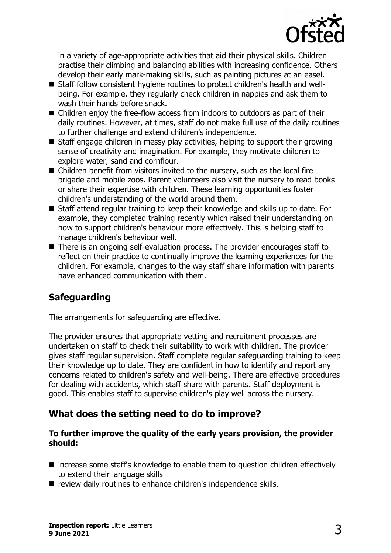

in a variety of age-appropriate activities that aid their physical skills. Children practise their climbing and balancing abilities with increasing confidence. Others develop their early mark-making skills, such as painting pictures at an easel.

- Staff follow consistent hygiene routines to protect children's health and wellbeing. For example, they regularly check children in nappies and ask them to wash their hands before snack.
- $\blacksquare$  Children enjoy the free-flow access from indoors to outdoors as part of their daily routines. However, at times, staff do not make full use of the daily routines to further challenge and extend children's independence.
- $\blacksquare$  Staff engage children in messy play activities, helping to support their growing sense of creativity and imagination. For example, they motivate children to explore water, sand and cornflour.
- $\blacksquare$  Children benefit from visitors invited to the nursery, such as the local fire brigade and mobile zoos. Parent volunteers also visit the nursery to read books or share their expertise with children. These learning opportunities foster children's understanding of the world around them.
- Staff attend regular training to keep their knowledge and skills up to date. For example, they completed training recently which raised their understanding on how to support children's behaviour more effectively. This is helping staff to manage children's behaviour well.
- $\blacksquare$  There is an ongoing self-evaluation process. The provider encourages staff to reflect on their practice to continually improve the learning experiences for the children. For example, changes to the way staff share information with parents have enhanced communication with them.

# **Safeguarding**

The arrangements for safeguarding are effective.

The provider ensures that appropriate vetting and recruitment processes are undertaken on staff to check their suitability to work with children. The provider gives staff regular supervision. Staff complete regular safeguarding training to keep their knowledge up to date. They are confident in how to identify and report any concerns related to children's safety and well-being. There are effective procedures for dealing with accidents, which staff share with parents. Staff deployment is good. This enables staff to supervise children's play well across the nursery.

# **What does the setting need to do to improve?**

#### **To further improve the quality of the early years provision, the provider should:**

- $\blacksquare$  increase some staff's knowledge to enable them to question children effectively to extend their language skills
- review daily routines to enhance children's independence skills.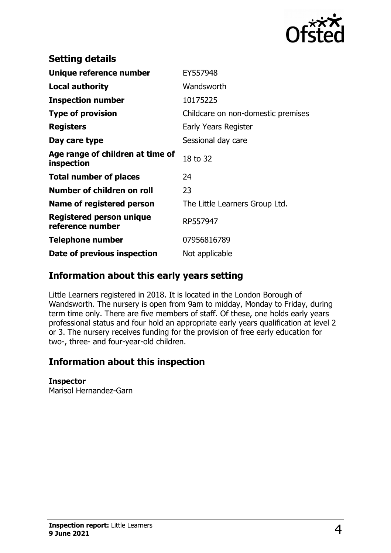

| <b>Setting details</b>                              |                                    |
|-----------------------------------------------------|------------------------------------|
| Unique reference number                             | EY557948                           |
| <b>Local authority</b>                              | Wandsworth                         |
| <b>Inspection number</b>                            | 10175225                           |
| <b>Type of provision</b>                            | Childcare on non-domestic premises |
| <b>Registers</b>                                    | Early Years Register               |
| Day care type                                       | Sessional day care                 |
| Age range of children at time of<br>inspection      | 18 to 32                           |
| <b>Total number of places</b>                       | 24                                 |
| Number of children on roll                          | 23                                 |
| Name of registered person                           | The Little Learners Group Ltd.     |
| <b>Registered person unique</b><br>reference number | RP557947                           |
| <b>Telephone number</b>                             | 07956816789                        |
| Date of previous inspection                         | Not applicable                     |

# **Information about this early years setting**

Little Learners registered in 2018. It is located in the London Borough of Wandsworth. The nursery is open from 9am to midday, Monday to Friday, during term time only. There are five members of staff. Of these, one holds early years professional status and four hold an appropriate early years qualification at level 2 or 3. The nursery receives funding for the provision of free early education for two-, three- and four-year-old children.

# **Information about this inspection**

#### **Inspector**

Marisol Hernandez-Garn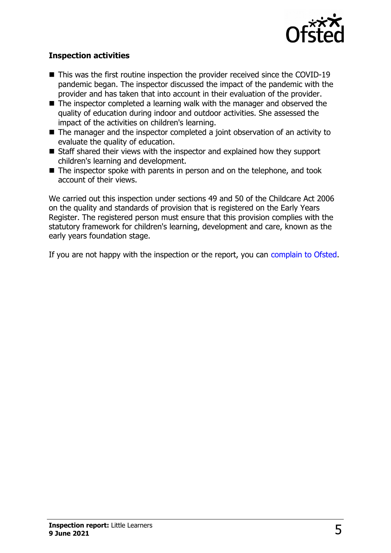

#### **Inspection activities**

- $\blacksquare$  This was the first routine inspection the provider received since the COVID-19 pandemic began. The inspector discussed the impact of the pandemic with the provider and has taken that into account in their evaluation of the provider.
- $\blacksquare$  The inspector completed a learning walk with the manager and observed the quality of education during indoor and outdoor activities. She assessed the impact of the activities on children's learning.
- $\blacksquare$  The manager and the inspector completed a joint observation of an activity to evaluate the quality of education.
- $\blacksquare$  Staff shared their views with the inspector and explained how they support children's learning and development.
- $\blacksquare$  The inspector spoke with parents in person and on the telephone, and took account of their views.

We carried out this inspection under sections 49 and 50 of the Childcare Act 2006 on the quality and standards of provision that is registered on the Early Years Register. The registered person must ensure that this provision complies with the statutory framework for children's learning, development and care, known as the early years foundation stage.

If you are not happy with the inspection or the report, you can [complain to Ofsted.](http://www.gov.uk/complain-ofsted-report)